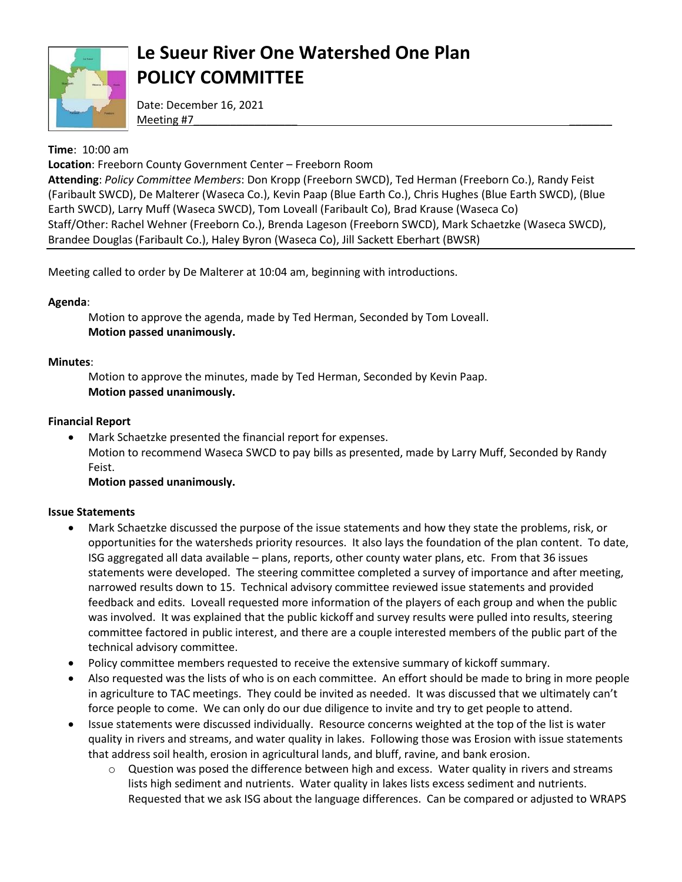

# **Le Sueur River One Watershed One Plan POLICY COMMITTEE**

Date: December 16, 2021 Meeting #7\_\_\_\_\_\_\_\_\_\_\_\_\_\_\_\_\_ \_\_\_\_\_\_\_

### **Time**: 10:00 am

**Location**: Freeborn County Government Center – Freeborn Room

**Attending**: *Policy Committee Members*: Don Kropp (Freeborn SWCD), Ted Herman (Freeborn Co.), Randy Feist (Faribault SWCD), De Malterer (Waseca Co.), Kevin Paap (Blue Earth Co.), Chris Hughes (Blue Earth SWCD), (Blue Earth SWCD), Larry Muff (Waseca SWCD), Tom Loveall (Faribault Co), Brad Krause (Waseca Co) Staff/Other: Rachel Wehner (Freeborn Co.), Brenda Lageson (Freeborn SWCD), Mark Schaetzke (Waseca SWCD), Brandee Douglas (Faribault Co.), Haley Byron (Waseca Co), Jill Sackett Eberhart (BWSR)

Meeting called to order by De Malterer at 10:04 am, beginning with introductions.

### **Agenda**:

Motion to approve the agenda, made by Ted Herman, Seconded by Tom Loveall. **Motion passed unanimously.** 

### **Minutes**:

Motion to approve the minutes, made by Ted Herman, Seconded by Kevin Paap. **Motion passed unanimously.** 

### **Financial Report**

 Mark Schaetzke presented the financial report for expenses. Motion to recommend Waseca SWCD to pay bills as presented, made by Larry Muff, Seconded by Randy Feist.

### **Motion passed unanimously.**

#### **Issue Statements**

- Mark Schaetzke discussed the purpose of the issue statements and how they state the problems, risk, or opportunities for the watersheds priority resources. It also lays the foundation of the plan content. To date, ISG aggregated all data available – plans, reports, other county water plans, etc. From that 36 issues statements were developed. The steering committee completed a survey of importance and after meeting, narrowed results down to 15. Technical advisory committee reviewed issue statements and provided feedback and edits. Loveall requested more information of the players of each group and when the public was involved. It was explained that the public kickoff and survey results were pulled into results, steering committee factored in public interest, and there are a couple interested members of the public part of the technical advisory committee.
- Policy committee members requested to receive the extensive summary of kickoff summary.
- Also requested was the lists of who is on each committee. An effort should be made to bring in more people in agriculture to TAC meetings. They could be invited as needed. It was discussed that we ultimately can't force people to come. We can only do our due diligence to invite and try to get people to attend.
- Issue statements were discussed individually. Resource concerns weighted at the top of the list is water quality in rivers and streams, and water quality in lakes. Following those was Erosion with issue statements that address soil health, erosion in agricultural lands, and bluff, ravine, and bank erosion.
	- $\circ$  Question was posed the difference between high and excess. Water quality in rivers and streams lists high sediment and nutrients. Water quality in lakes lists excess sediment and nutrients. Requested that we ask ISG about the language differences. Can be compared or adjusted to WRAPS